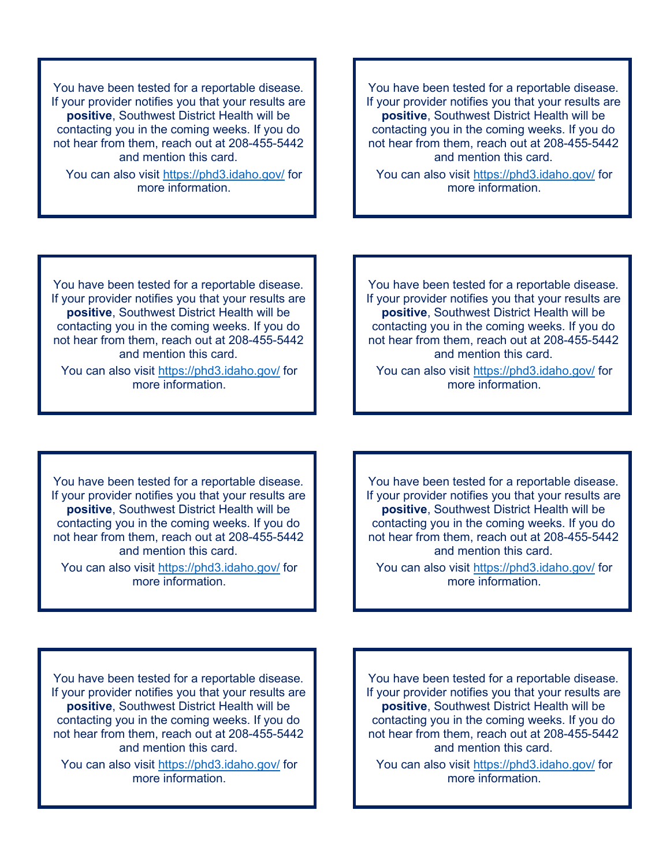You have been tested for a reportable disease. If your provider notifies you that your results are **positive**, Southwest District Health will be contacting you in the coming weeks. If you do not hear from them, reach out at 208-455-5442 and mention this card.

You can also visit<https://phd3.idaho.gov/> for more information.

You have been tested for a reportable disease. If your provider notifies you that your results are **positive**, Southwest District Health will be contacting you in the coming weeks. If you do not hear from them, reach out at 208-455-5442 and mention this card.

You can also visit<https://phd3.idaho.gov/> for more information.

You have been tested for a reportable disease. If your provider notifies you that your results are **positive**, Southwest District Health will be contacting you in the coming weeks. If you do not hear from them, reach out at 208-455-5442 and mention this card.

You can also visit<https://phd3.idaho.gov/> for more information.

You have been tested for a reportable disease. If your provider notifies you that your results are **positive**, Southwest District Health will be contacting you in the coming weeks. If you do not hear from them, reach out at 208-455-5442 and mention this card.

You can also visit<https://phd3.idaho.gov/> for more information.

You have been tested for a reportable disease. If your provider notifies you that your results are **positive**, Southwest District Health will be contacting you in the coming weeks. If you do not hear from them, reach out at 208-455-5442 and mention this card.

You can also visit<https://phd3.idaho.gov/> for more information.

You have been tested for a reportable disease. If your provider notifies you that your results are **positive**, Southwest District Health will be contacting you in the coming weeks. If you do not hear from them, reach out at 208-455-5442 and mention this card.

You can also visit<https://phd3.idaho.gov/> for more information.

You have been tested for a reportable disease. If your provider notifies you that your results are **positive**, Southwest District Health will be contacting you in the coming weeks. If you do not hear from them, reach out at 208-455-5442 and mention this card.

You can also visit<https://phd3.idaho.gov/> for more information.

You have been tested for a reportable disease. If your provider notifies you that your results are **positive**, Southwest District Health will be contacting you in the coming weeks. If you do not hear from them, reach out at 208-455-5442 and mention this card.

You can also visit<https://phd3.idaho.gov/> for more information.